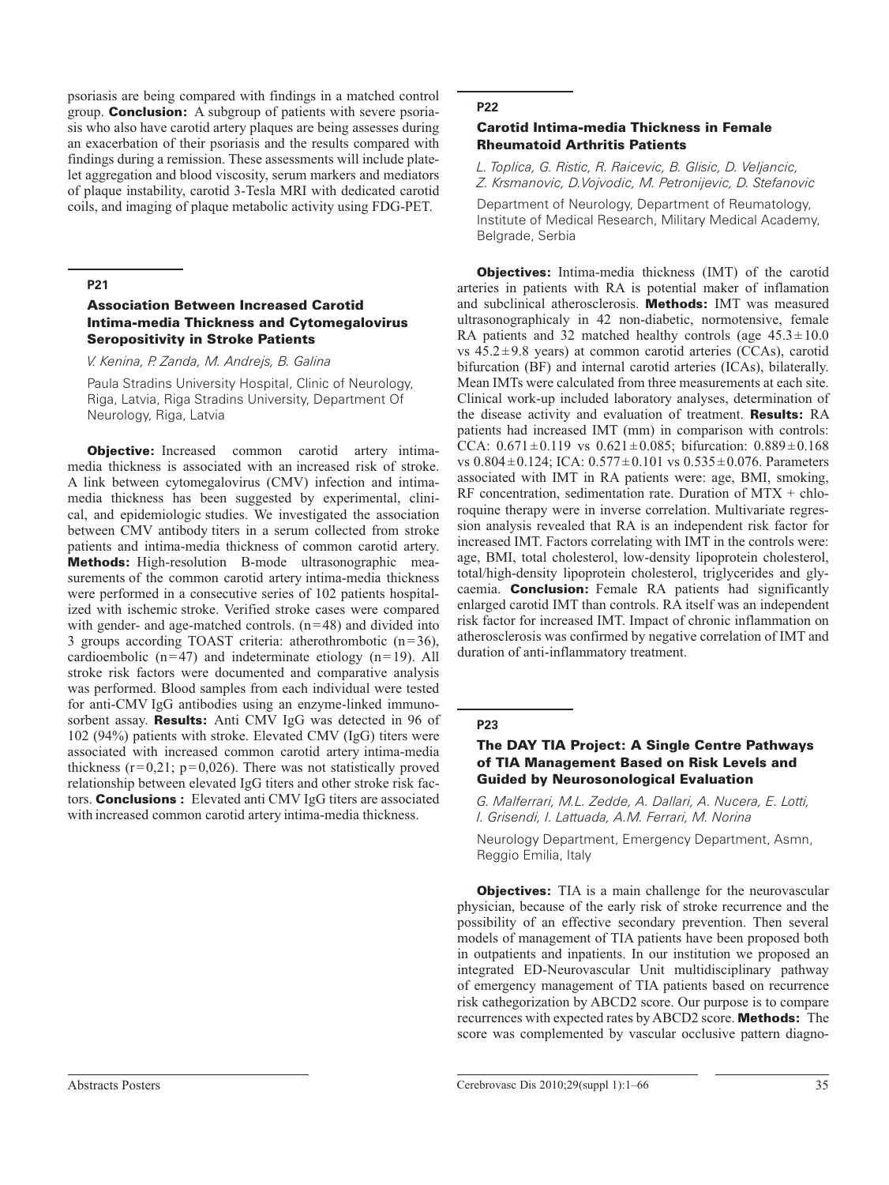psoriasis are being compared with findings in a matched control group. Conclusion: A subgroup of patients with severe psoriasis who also have carotid artery plaques are being assesses during an exacerbation of their psoriasis and the results compared with findings during a remission. These assessments will include platelet aggregation and blood viscosity, serum markers and mediators of plaque instability, carotid 3-Tesla MRI with dedicated carotid coils, and imaging of plaque metabolic activity using FDG-PET.

## **P21**

## Association Between Increased Carotid Intima-media Thickness and Cytomegalovirus Seropositivity in Stroke Patients

*V. Kenina, P. Zanda, M. Andrejs, B. Galina*

Paula Stradins University Hospital, Clinic of Neurology, Riga, Latvia, Riga Stradins University, Department Of Neurology, Riga, Latvia

**Objective:** Increased common carotid artery intimamedia thickness is associated with an increased risk of stroke. A link between cytomegalovirus (CMV) infection and intimamedia thickness has been suggested by experimental, clinical, and epidemiologic studies. We investigated the association between CMV antibody titers in a serum collected from stroke patients and intima-media thickness of common carotid artery. Methods: High-resolution B-mode ultrasonographic measurements of the common carotid artery intima-media thickness were performed in a consecutive series of 102 patients hospitalized with ischemic stroke. Verified stroke cases were compared with gender- and age-matched controls.  $(n=48)$  and divided into 3 groups according TOAST criteria: atherothrombotic  $(n=36)$ , cardioembolic  $(n=47)$  and indeterminate etiology  $(n=19)$ . All stroke risk factors were documented and comparative analysis was performed. Blood samples from each individual were tested for anti-CMV IgG antibodies using an enzyme-linked immunosorbent assay. Results: Anti CMV IgG was detected in 96 of 102 (94%) patients with stroke. Elevated CMV (IgG) titers were associated with increased common carotid artery intima-media thickness  $(r=0.21; p=0.026)$ . There was not statistically proved relationship between elevated IgG titers and other stroke risk factors. **Conclusions** : Elevated anti CMV IgG titers are associated with increased common carotid artery intima-media thickness.

## **P22**

## Carotid Intima-media Thickness in Female Rheumatoid Arthritis Patients

*L. Toplica, G. Ristic, R. Raicevic, B. Glisic, D. Veljancic, Z. Krsmanovic, D.Vojvodic, M. Petronijevic, D. Stefanovic*

Department of Neurology, Department of Reumatology, Institute of Medical Research, Military Medical Academy, Belgrade, Serbia

**Objectives:** Intima-media thickness (IMT) of the carotid arteries in patients with RA is potential maker of inflamation and subclinical atherosclerosis. Methods: IMT was measured ultrasonographicaly in 42 non-diabetic, normotensive, female RA patients and 32 matched healthy controls (age  $45.3 \pm 10.0$ ) vs  $45.2 \pm 9.8$  years) at common carotid arteries (CCAs), carotid bifurcation (BF) and internal carotid arteries (ICAs), bilaterally. Mean IMTs were calculated from three measurements at each site. Clinical work-up included laboratory analyses, determination of the disease activity and evaluation of treatment. **Results:** RA patients had increased IMT (mm) in comparison with controls: CCA:  $0.671 \pm 0.119$  vs  $0.621 \pm 0.085$ ; bifurcation:  $0.889 \pm 0.168$ vs  $0.804 \pm 0.124$ ; ICA:  $0.577 \pm 0.101$  vs  $0.535 \pm 0.076$ . Parameters associated with IMT in RA patients were: age, BMI, smoking, RF concentration, sedimentation rate. Duration of  $MTX + chlo$ roquine therapy were in inverse correlation. Multivariate regression analysis revealed that RA is an independent risk factor for increased IMT. Factors correlating with IMT in the controls were: age, BMI, total cholesterol, low-density lipoprotein cholesterol, total/high-density lipoprotein cholesterol, triglycerides and glycaemia. Conclusion: Female RA patients had significantly enlarged carotid IMT than controls. RA itself was an independent risk factor for increased IMT. Impact of chronic inflammation on atherosclerosis was confirmed by negative correlation of IMT and duration of anti-inflammatory treatment.

### **P23**

# The DAY TIA Project: A Single Centre Pathways of TIA Management Based on Risk Levels and Guided by Neurosonological Evaluation

*G. Malferrari, M.L. Zedde, A. Dallari, A. Nucera, E. Lotti, I. Grisendi, I. Lattuada, A.M. Ferrari, M. Norina*

Neurology Department, Emergency Department, Asmn, Reggio Emilia, Italy

**Objectives:** TIA is a main challenge for the neurovascular physician, because of the early risk of stroke recurrence and the possibility of an effective secondary prevention. Then several models of management of TIA patients have been proposed both in outpatients and inpatients. In our institution we proposed an integrated ED-Neurovascular Unit multidisciplinary pathway of emergency management of TIA patients based on recurrence risk cathegorization by ABCD2 score. Our purpose is to compare recurrences with expected rates by ABCD2 score. Methods: The score was complemented by vascular occlusive pattern diagno-